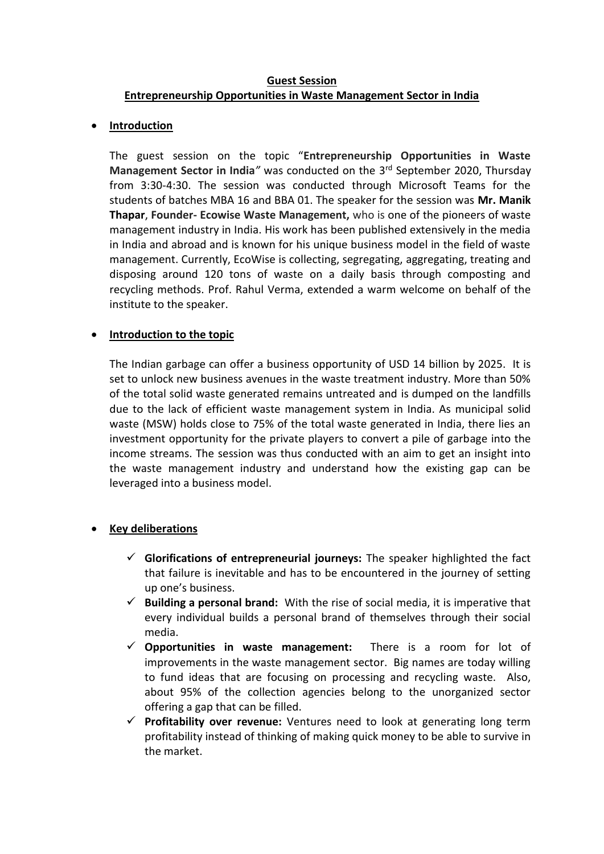### **Guest Session Entrepreneurship Opportunities in Waste Management Sector in India**

#### • **Introduction**

The guest session on the topic "**Entrepreneurship Opportunities in Waste Management Sector in India***"* was conducted on the 3 rd September 2020, Thursday from 3:30-4:30. The session was conducted through Microsoft Teams for the students of batches MBA 16 and BBA 01. The speaker for the session was **Mr. Manik Thapar**, **Founder- Ecowise Waste Management,** who is one of the pioneers of waste management industry in India. His work has been published extensively in the media in India and abroad and is known for his unique business model in the field of waste management. Currently, EcoWise is collecting, segregating, aggregating, treating and disposing around 120 tons of waste on a daily basis through composting and recycling methods. Prof. Rahul Verma, extended a warm welcome on behalf of the institute to the speaker.

# • **Introduction to the topic**

The Indian garbage can offer a business opportunity of USD 14 billion by 2025. It is set to unlock new business avenues in the waste treatment industry. More than 50% of the total solid waste generated remains untreated and is dumped on the landfills due to the lack of efficient waste management system in India. As municipal solid waste (MSW) holds close to 75% of the total waste generated in India, there lies an investment opportunity for the private players to convert a pile of garbage into the income streams. The session was thus conducted with an aim to get an insight into the waste management industry and understand how the existing gap can be leveraged into a business model.

# • **Key deliberations**

- ✓ **Glorifications of entrepreneurial journeys:** The speaker highlighted the fact that failure is inevitable and has to be encountered in the journey of setting up one's business.
- ✓ **Building a personal brand:** With the rise of social media, it is imperative that every individual builds a personal brand of themselves through their social media.
- ✓ **Opportunities in waste management:** There is a room for lot of improvements in the waste management sector. Big names are today willing to fund ideas that are focusing on processing and recycling waste. Also, about 95% of the collection agencies belong to the unorganized sector offering a gap that can be filled.
- ✓ **Profitability over revenue:** Ventures need to look at generating long term profitability instead of thinking of making quick money to be able to survive in the market.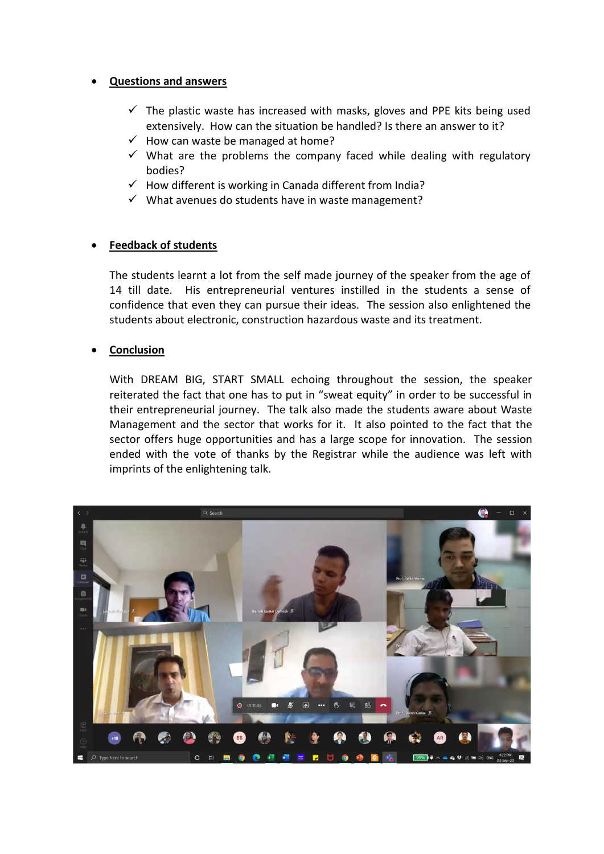### • **Questions and answers**

- $\checkmark$  The plastic waste has increased with masks, gloves and PPE kits being used extensively. How can the situation be handled? Is there an answer to it?
- $\checkmark$  How can waste be managed at home?
- $\checkmark$  What are the problems the company faced while dealing with regulatory bodies?
- $\checkmark$  How different is working in Canada different from India?
- $\checkmark$  What avenues do students have in waste management?

### • **Feedback of students**

The students learnt a lot from the self made journey of the speaker from the age of 14 till date. His entrepreneurial ventures instilled in the students a sense of confidence that even they can pursue their ideas. The session also enlightened the students about electronic, construction hazardous waste and its treatment.

### • **Conclusion**

With DREAM BIG, START SMALL echoing throughout the session, the speaker reiterated the fact that one has to put in "sweat equity" in order to be successful in their entrepreneurial journey. The talk also made the students aware about Waste Management and the sector that works for it. It also pointed to the fact that the sector offers huge opportunities and has a large scope for innovation. The session ended with the vote of thanks by the Registrar while the audience was left with imprints of the enlightening talk.